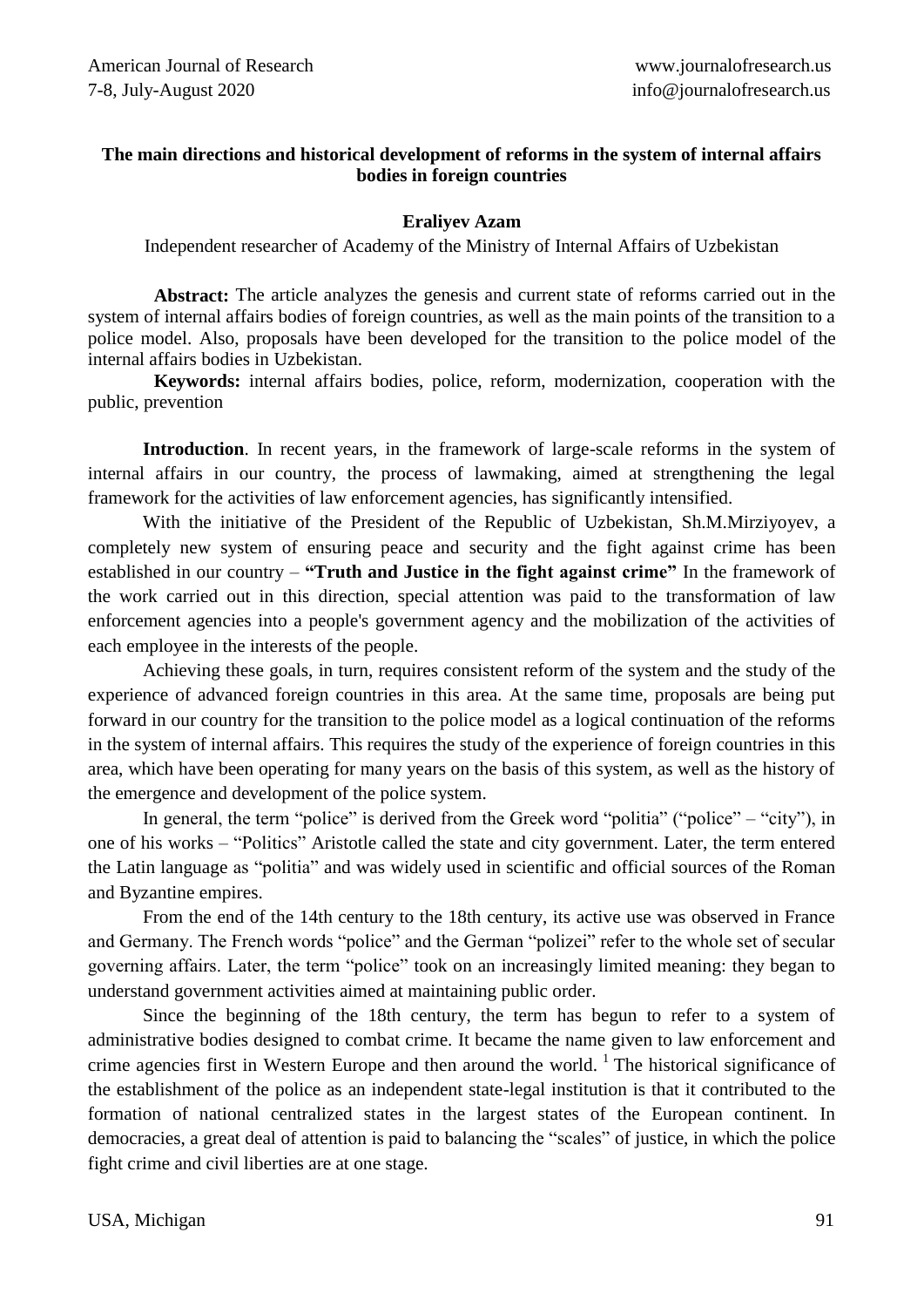## **The main directions and historical development of reforms in the system of internal affairs bodies in foreign countries**

## **Eraliyev Azam**

Independent researcher of Academy of the Ministry of Internal Affairs of Uzbekistan

**Abstract:** The article analyzes the genesis and current state of reforms carried out in the system of internal affairs bodies of foreign countries, as well as the main points of the transition to a police model. Also, proposals have been developed for the transition to the police model of the internal affairs bodies in Uzbekistan.

**Keywords:** internal affairs bodies, police, reform, modernization, cooperation with the public, prevention

**Introduction**. In recent years, in the framework of large-scale reforms in the system of internal affairs in our country, the process of lawmaking, aimed at strengthening the legal framework for the activities of law enforcement agencies, has significantly intensified.

With the initiative of the President of the Republic of Uzbekistan, Sh.M.Mirziyoyev, a completely new system of ensuring peace and security and the fight against crime has been established in our country – **"Truth and Justice in the fight against crime"** In the framework of the work carried out in this direction, special attention was paid to the transformation of law enforcement agencies into a people's government agency and the mobilization of the activities of each employee in the interests of the people.

Achieving these goals, in turn, requires consistent reform of the system and the study of the experience of advanced foreign countries in this area. At the same time, proposals are being put forward in our country for the transition to the police model as a logical continuation of the reforms in the system of internal affairs. This requires the study of the experience of foreign countries in this area, which have been operating for many years on the basis of this system, as well as the history of the emergence and development of the police system.

In general, the term "police" is derived from the Greek word "politia" ("police" – "city"), in one of his works – "Politics" Aristotle called the state and city government. Later, the term entered the Latin language as "politia" and was widely used in scientific and official sources of the Roman and Byzantine empires.

From the end of the 14th century to the 18th century, its active use was observed in France and Germany. The French words "police" and the German "polizei" refer to the whole set of secular governing affairs. Later, the term "police" took on an increasingly limited meaning: they began to understand government activities aimed at maintaining public order.

Since the beginning of the 18th century, the term has begun to refer to a system of administrative bodies designed to combat crime. It became the name given to law enforcement and crime agencies first in Western Europe and then around the world.  $\frac{1}{1}$  The historical significance of the establishment of the police as an independent state-legal institution is that it contributed to the formation of national centralized states in the largest states of the European continent. In democracies, a great deal of attention is paid to balancing the "scales" of justice, in which the police fight crime and civil liberties are at one stage.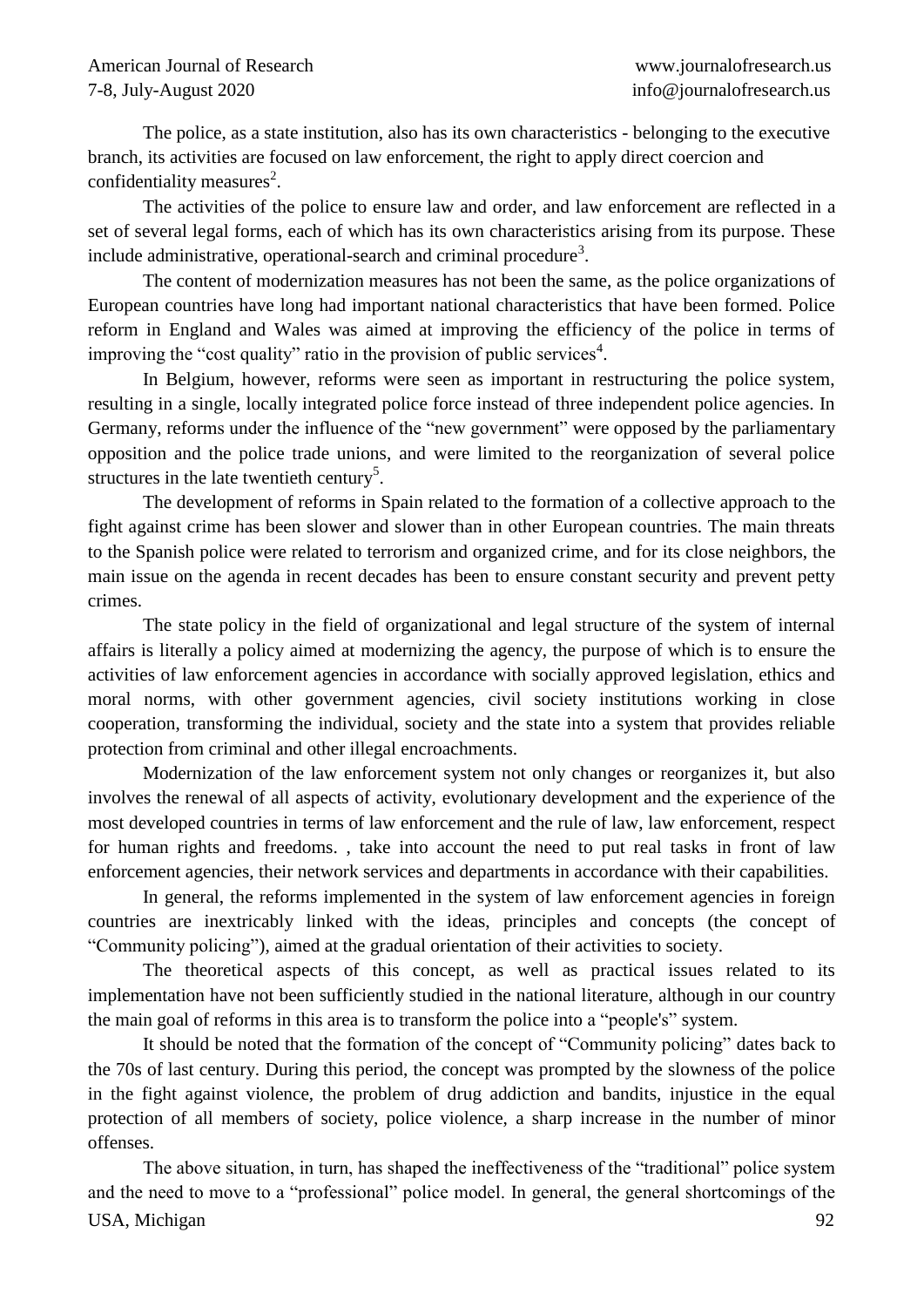The police, as a state institution, also has its own characteristics - belonging to the executive branch, its activities are focused on law enforcement, the right to apply direct coercion and confidentiality measures<sup>2</sup>.

The activities of the police to ensure law and order, and law enforcement are reflected in a set of several legal forms, each of which has its own characteristics arising from its purpose. These include administrative, operational-search and criminal procedure<sup>3</sup>.

The content of modernization measures has not been the same, as the police organizations of European countries have long had important national characteristics that have been formed. Police reform in England and Wales was aimed at improving the efficiency of the police in terms of improving the "cost quality" ratio in the provision of public services $4$ .

In Belgium, however, reforms were seen as important in restructuring the police system, resulting in a single, locally integrated police force instead of three independent police agencies. In Germany, reforms under the influence of the "new government" were opposed by the parliamentary opposition and the police trade unions, and were limited to the reorganization of several police structures in the late twentieth century<sup>5</sup>.

The development of reforms in Spain related to the formation of a collective approach to the fight against crime has been slower and slower than in other European countries. The main threats to the Spanish police were related to terrorism and organized crime, and for its close neighbors, the main issue on the agenda in recent decades has been to ensure constant security and prevent petty crimes.

The state policy in the field of organizational and legal structure of the system of internal affairs is literally a policy aimed at modernizing the agency, the purpose of which is to ensure the activities of law enforcement agencies in accordance with socially approved legislation, ethics and moral norms, with other government agencies, civil society institutions working in close cooperation, transforming the individual, society and the state into a system that provides reliable protection from criminal and other illegal encroachments.

Modernization of the law enforcement system not only changes or reorganizes it, but also involves the renewal of all aspects of activity, evolutionary development and the experience of the most developed countries in terms of law enforcement and the rule of law, law enforcement, respect for human rights and freedoms. , take into account the need to put real tasks in front of law enforcement agencies, their network services and departments in accordance with their capabilities.

In general, the reforms implemented in the system of law enforcement agencies in foreign countries are inextricably linked with the ideas, principles and concepts (the concept of "Community policing"), aimed at the gradual orientation of their activities to society.

The theoretical aspects of this concept, as well as practical issues related to its implementation have not been sufficiently studied in the national literature, although in our country the main goal of reforms in this area is to transform the police into a "people's" system.

It should be noted that the formation of the concept of "Community policing" dates back to the 70s of last century. During this period, the concept was prompted by the slowness of the police in the fight against violence, the problem of drug addiction and bandits, injustice in the equal protection of all members of society, police violence, a sharp increase in the number of minor offenses.

USA, Michigan 92 The above situation, in turn, has shaped the ineffectiveness of the "traditional" police system and the need to move to a "professional" police model. In general, the general shortcomings of the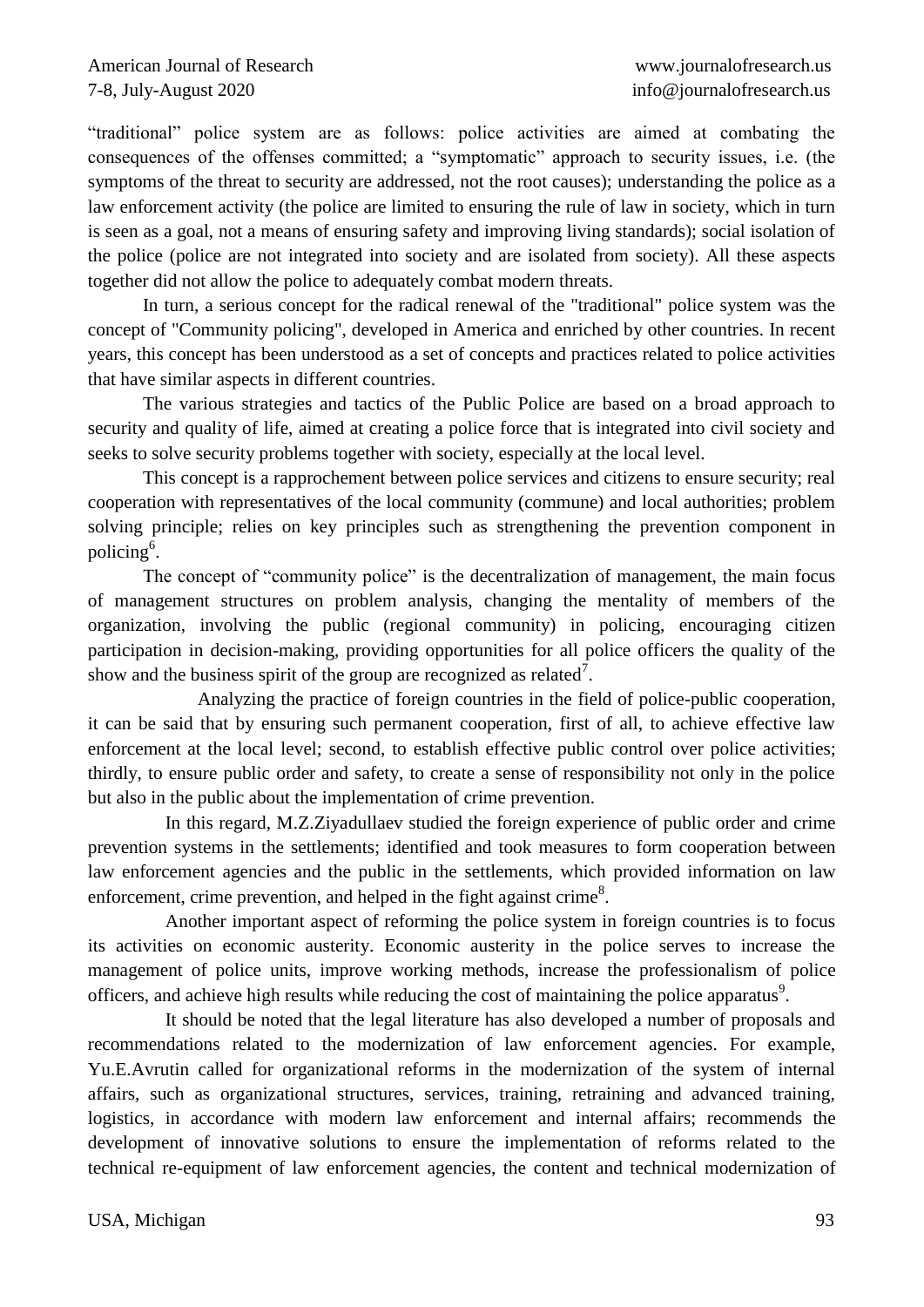"traditional" police system are as follows: police activities are aimed at combating the consequences of the offenses committed; a "symptomatic" approach to security issues, i.e. (the symptoms of the threat to security are addressed, not the root causes); understanding the police as a law enforcement activity (the police are limited to ensuring the rule of law in society, which in turn is seen as a goal, not a means of ensuring safety and improving living standards); social isolation of the police (police are not integrated into society and are isolated from society). All these aspects together did not allow the police to adequately combat modern threats.

In turn, a serious concept for the radical renewal of the "traditional" police system was the concept of "Community policing", developed in America and enriched by other countries. In recent years, this concept has been understood as a set of concepts and practices related to police activities that have similar aspects in different countries.

The various strategies and tactics of the Public Police are based on a broad approach to security and quality of life, aimed at creating a police force that is integrated into civil society and seeks to solve security problems together with society, especially at the local level.

This concept is a rapprochement between police services and citizens to ensure security; real cooperation with representatives of the local community (commune) and local authorities; problem solving principle; relies on key principles such as strengthening the prevention component in policing<sup>6</sup>.

The concept of "community police" is the decentralization of management, the main focus of management structures on problem analysis, changing the mentality of members of the organization, involving the public (regional community) in policing, encouraging citizen participation in decision-making, providing opportunities for all police officers the quality of the show and the business spirit of the group are recognized as related<sup>7</sup>.

Analyzing the practice of foreign countries in the field of police-public cooperation, it can be said that by ensuring such permanent cooperation, first of all, to achieve effective law enforcement at the local level; second, to establish effective public control over police activities; thirdly, to ensure public order and safety, to create a sense of responsibility not only in the police but also in the public about the implementation of crime prevention.

In this regard, M.Z.Ziyadullaev studied the foreign experience of public order and crime prevention systems in the settlements; identified and took measures to form cooperation between law enforcement agencies and the public in the settlements, which provided information on law enforcement, crime prevention, and helped in the fight against crime<sup>8</sup>.

Another important aspect of reforming the police system in foreign countries is to focus its activities on economic austerity. Economic austerity in the police serves to increase the management of police units, improve working methods, increase the professionalism of police officers, and achieve high results while reducing the cost of maintaining the police apparatus $\delta$ .

It should be noted that the legal literature has also developed a number of proposals and recommendations related to the modernization of law enforcement agencies. For example, Yu.E.Avrutin called for organizational reforms in the modernization of the system of internal affairs, such as organizational structures, services, training, retraining and advanced training, logistics, in accordance with modern law enforcement and internal affairs; recommends the development of innovative solutions to ensure the implementation of reforms related to the technical re-equipment of law enforcement agencies, the content and technical modernization of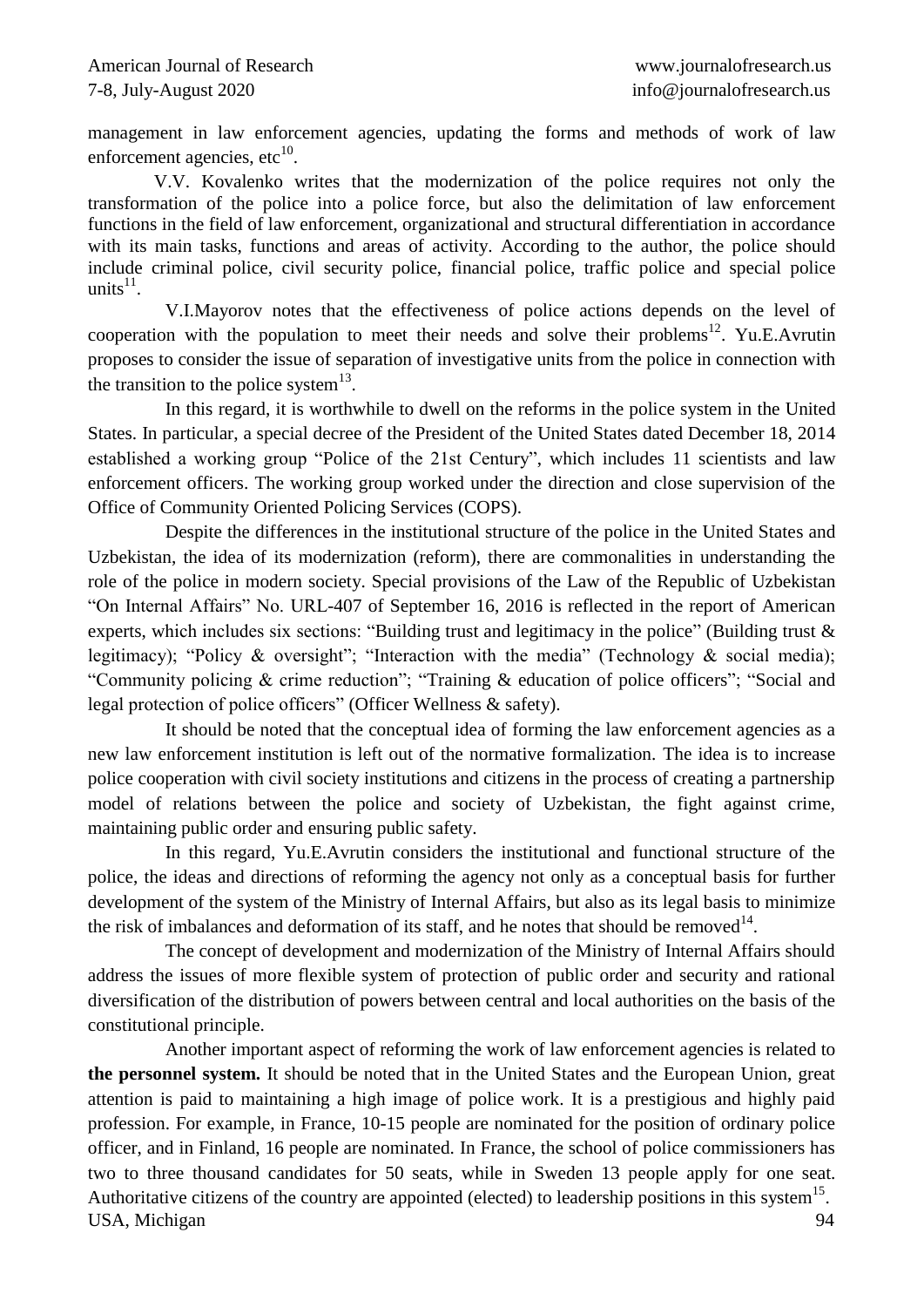management in law enforcement agencies, updating the forms and methods of work of law enforcement agencies, etc $^{10}$ .

V.V. Kovalenko writes that the modernization of the police requires not only the transformation of the police into a police force, but also the delimitation of law enforcement functions in the field of law enforcement, organizational and structural differentiation in accordance with its main tasks, functions and areas of activity. According to the author, the police should include criminal police, civil security police, financial police, traffic police and special police units $^{11}$ .

V.I.Mayorov notes that the effectiveness of police actions depends on the level of cooperation with the population to meet their needs and solve their problems<sup>12</sup>. Yu.E.Avrutin proposes to consider the issue of separation of investigative units from the police in connection with the transition to the police system $^{13}$ .

In this regard, it is worthwhile to dwell on the reforms in the police system in the United States. In particular, a special decree of the President of the United States dated December 18, 2014 established a working group "Police of the 21st Century", which includes 11 scientists and law enforcement officers. The working group worked under the direction and close supervision of the Office of Community Oriented Policing Services (COPS).

Despite the differences in the institutional structure of the police in the United States and Uzbekistan, the idea of its modernization (reform), there are commonalities in understanding the role of the police in modern society. Special provisions of the Law of the Republic of Uzbekistan "On Internal Affairs" No. URL-407 of September 16, 2016 is reflected in the report of American experts, which includes six sections: "Building trust and legitimacy in the police" (Building trust & legitimacy); "Policy & oversight"; "Interaction with the media" (Technology & social media); "Community policing & crime reduction"; "Training & education of police officers"; "Social and legal protection of police officers" (Officer Wellness & safety).

It should be noted that the conceptual idea of forming the law enforcement agencies as a new law enforcement institution is left out of the normative formalization. The idea is to increase police cooperation with civil society institutions and citizens in the process of creating a partnership model of relations between the police and society of Uzbekistan, the fight against crime, maintaining public order and ensuring public safety.

In this regard, Yu.E.Avrutin considers the institutional and functional structure of the police, the ideas and directions of reforming the agency not only as a conceptual basis for further development of the system of the Ministry of Internal Affairs, but also as its legal basis to minimize the risk of imbalances and deformation of its staff, and he notes that should be removed<sup>14</sup>.

The concept of development and modernization of the Ministry of Internal Affairs should address the issues of more flexible system of protection of public order and security and rational diversification of the distribution of powers between central and local authorities on the basis of the constitutional principle.

USA, Michigan 94 Another important aspect of reforming the work of law enforcement agencies is related to **the personnel system.** It should be noted that in the United States and the European Union, great attention is paid to maintaining a high image of police work. It is a prestigious and highly paid profession. For example, in France, 10-15 people are nominated for the position of ordinary police officer, and in Finland, 16 people are nominated. In France, the school of police commissioners has two to three thousand candidates for 50 seats, while in Sweden 13 people apply for one seat. Authoritative citizens of the country are appointed (elected) to leadership positions in this system<sup>15</sup>.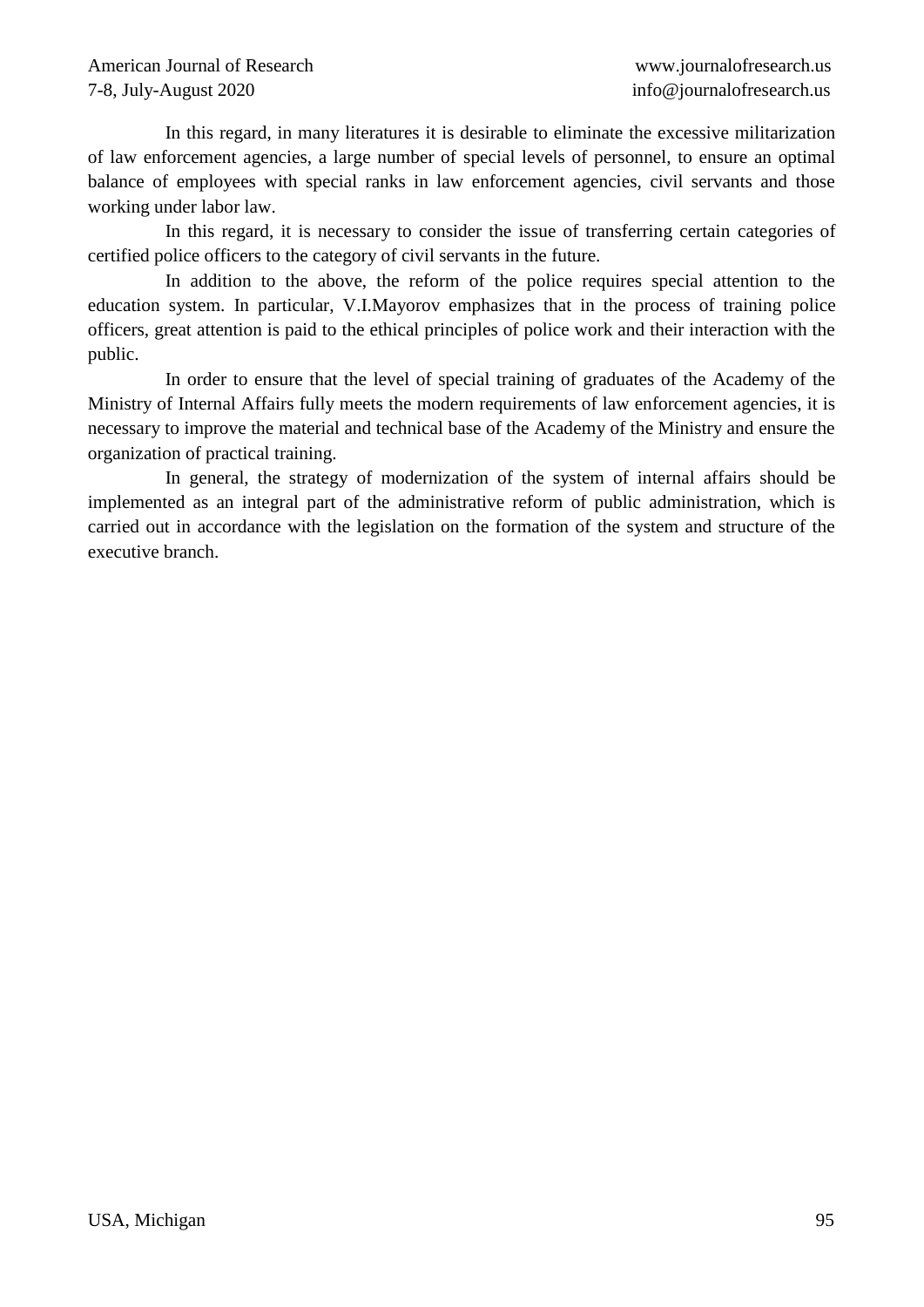In this regard, in many literatures it is desirable to eliminate the excessive militarization of law enforcement agencies, a large number of special levels of personnel, to ensure an optimal balance of employees with special ranks in law enforcement agencies, civil servants and those working under labor law.

In this regard, it is necessary to consider the issue of transferring certain categories of certified police officers to the category of civil servants in the future.

In addition to the above, the reform of the police requires special attention to the education system. In particular, V.I.Mayorov emphasizes that in the process of training police officers, great attention is paid to the ethical principles of police work and their interaction with the public.

In order to ensure that the level of special training of graduates of the Academy of the Ministry of Internal Affairs fully meets the modern requirements of law enforcement agencies, it is necessary to improve the material and technical base of the Academy of the Ministry and ensure the organization of practical training.

In general, the strategy of modernization of the system of internal affairs should be implemented as an integral part of the administrative reform of public administration, which is carried out in accordance with the legislation on the formation of the system and structure of the executive branch.